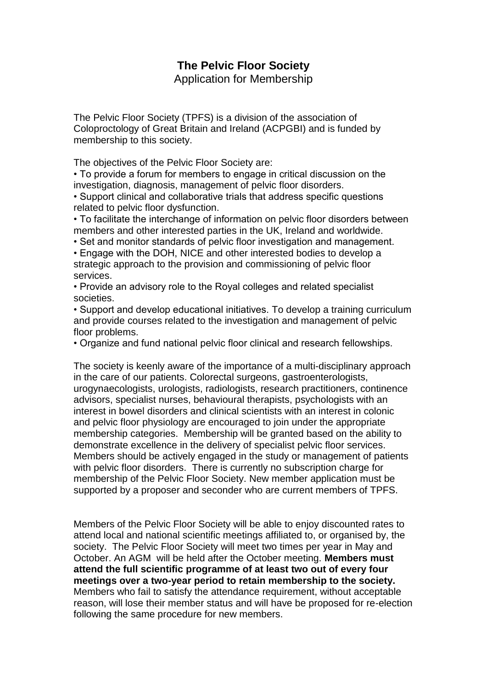## **The Pelvic Floor Society**

Application for Membership

The Pelvic Floor Society (TPFS) is a division of the association of Coloproctology of Great Britain and Ireland (ACPGBI) and is funded by membership to this society.

The objectives of the Pelvic Floor Society are:

• To provide a forum for members to engage in critical discussion on the investigation, diagnosis, management of pelvic floor disorders.

• Support clinical and collaborative trials that address specific questions related to pelvic floor dysfunction.

• To facilitate the interchange of information on pelvic floor disorders between members and other interested parties in the UK, Ireland and worldwide.

• Set and monitor standards of pelvic floor investigation and management.

• Engage with the DOH, NICE and other interested bodies to develop a strategic approach to the provision and commissioning of pelvic floor services.

• Provide an advisory role to the Royal colleges and related specialist societies.

• Support and develop educational initiatives. To develop a training curriculum and provide courses related to the investigation and management of pelvic floor problems.

• Organize and fund national pelvic floor clinical and research fellowships.

The society is keenly aware of the importance of a multi-disciplinary approach in the care of our patients. Colorectal surgeons, gastroenterologists, urogynaecologists, urologists, radiologists, research practitioners, continence advisors, specialist nurses, behavioural therapists, psychologists with an interest in bowel disorders and clinical scientists with an interest in colonic and pelvic floor physiology are encouraged to join under the appropriate membership categories. Membership will be granted based on the ability to demonstrate excellence in the delivery of specialist pelvic floor services. Members should be actively engaged in the study or management of patients with pelvic floor disorders. There is currently no subscription charge for membership of the Pelvic Floor Society. New member application must be supported by a proposer and seconder who are current members of TPFS.

Members of the Pelvic Floor Society will be able to enjoy discounted rates to attend local and national scientific meetings affiliated to, or organised by, the society. The Pelvic Floor Society will meet two times per year in May and October. An AGM will be held after the October meeting. **Members must attend the full scientific programme of at least two out of every four meetings over a two-year period to retain membership to the society.**  Members who fail to satisfy the attendance requirement, without acceptable reason, will lose their member status and will have be proposed for re-election following the same procedure for new members.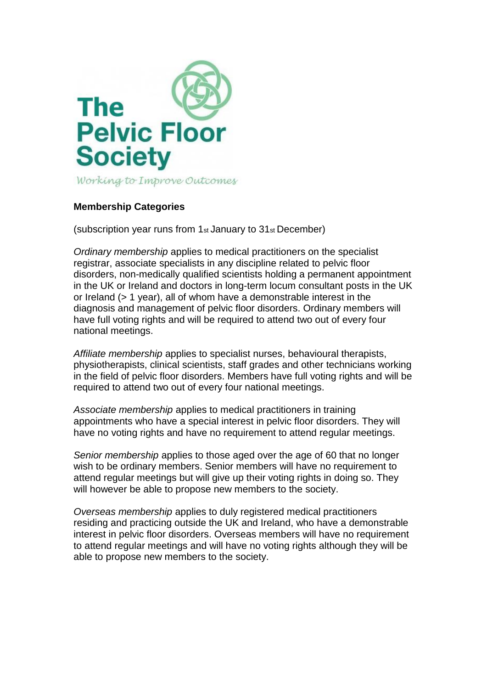

## **Membership Categories**

(subscription year runs from 1st January to 31st December)

*Ordinary membership* applies to medical practitioners on the specialist registrar, associate specialists in any discipline related to pelvic floor disorders, non-medically qualified scientists holding a permanent appointment in the UK or Ireland and doctors in long-term locum consultant posts in the UK or Ireland (> 1 year), all of whom have a demonstrable interest in the diagnosis and management of pelvic floor disorders. Ordinary members will have full voting rights and will be required to attend two out of every four national meetings.

*Affiliate membership* applies to specialist nurses, behavioural therapists, physiotherapists, clinical scientists, staff grades and other technicians working in the field of pelvic floor disorders. Members have full voting rights and will be required to attend two out of every four national meetings.

*Associate membership* applies to medical practitioners in training appointments who have a special interest in pelvic floor disorders. They will have no voting rights and have no requirement to attend regular meetings.

*Senior membership* applies to those aged over the age of 60 that no longer wish to be ordinary members. Senior members will have no requirement to attend regular meetings but will give up their voting rights in doing so. They will however be able to propose new members to the society.

*Overseas membership* applies to duly registered medical practitioners residing and practicing outside the UK and Ireland, who have a demonstrable interest in pelvic floor disorders. Overseas members will have no requirement to attend regular meetings and will have no voting rights although they will be able to propose new members to the society.